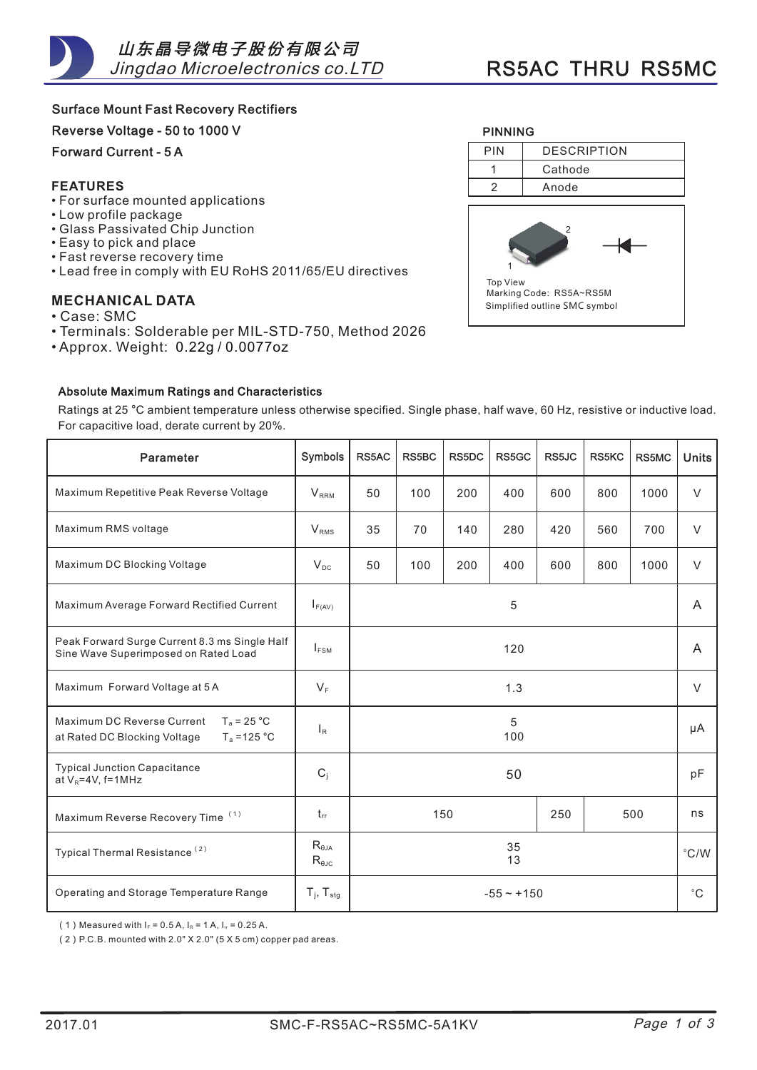Surface Mount Fast Recovery Rectifiers

Reverse Voltage - 50 to 1000 V

Forward Current - 5 A

### **FEATURES**

- For surface mounted applications •
- Low profile package •
- Glass Passivated Chip Junction •
- Easy to pick and place •
- Fast reverse recovery time
- Lead free in comply with EU RoHS 2011/65/EU directives •

# **MECHANICAL DATA**

- Case: SMC •
- Terminals: Solderable per MIL-STD-750, Method 2026 •
- Approx. Weight: 0.22g / 0.0077oz

#### AbsoluteMaximumRatingsandCharacteristics



| Ratings at 25 °C ambient temperature unless otherwise specified. Single phase, half wave, 60 Hz, resistive or inductive load. |  |  |  |  |  |
|-------------------------------------------------------------------------------------------------------------------------------|--|--|--|--|--|
| For capacitive load, derate current by 20%.                                                                                   |  |  |  |  |  |
|                                                                                                                               |  |  |  |  |  |

| Parameter                                                                                     | Symbols                                   | RS5AC             | <b>RS5BC</b> | <b>RS5DC</b> | RS5GC | RS5JC | <b>RS5KC</b> | RS5MC         | <b>Units</b> |
|-----------------------------------------------------------------------------------------------|-------------------------------------------|-------------------|--------------|--------------|-------|-------|--------------|---------------|--------------|
| Maximum Repetitive Peak Reverse Voltage                                                       | V <sub>RRM</sub>                          | 50                | 100          | 200          | 400   | 600   | 800          | 1000          | V            |
| Maximum RMS voltage                                                                           | $V_{RMS}$                                 | 35                | 70           | 140          | 280   | 420   | 560          | 700           | $\vee$       |
| Maximum DC Blocking Voltage                                                                   | $V_{DC}$                                  | 50                | 100          | 200          | 400   | 600   | 800          | 1000          | $\vee$       |
| Maximum Average Forward Rectified Current                                                     | $I_{F(AV)}$                               | 5                 |              |              |       |       |              |               | A            |
| Peak Forward Surge Current 8.3 ms Single Half<br>Sine Wave Superimposed on Rated Load         | $I_{FSM}$                                 | 120               |              |              |       |       |              | A             |              |
| Maximum Forward Voltage at 5 A                                                                | $V_F$                                     | 1.3               |              |              |       |       | V            |               |              |
| Maximum DC Reverse Current<br>$T_a = 25 °C$<br>$T_a = 125 °C$<br>at Rated DC Blocking Voltage | $\mathsf{I}_{\mathsf{R}}$                 | 5<br>100          |              |              |       |       | μA           |               |              |
| <b>Typical Junction Capacitance</b><br>at $V_R = 4V$ , f=1MHz                                 | $C_i$                                     | 50                |              |              |       |       |              | pF            |              |
| Maximum Reverse Recovery Time <sup>(1)</sup>                                                  | $t_{rr}$                                  | 150<br>250<br>500 |              |              |       |       | ns           |               |              |
| Typical Thermal Resistance <sup>(2)</sup>                                                     | $R_{\theta JA}$<br>$R_{\theta \text{JC}}$ | 35<br>13          |              |              |       |       |              | $\degree$ C/W |              |
| Operating and Storage Temperature Range                                                       | $T_i$ , $T_{\text{stg}}$                  | $-55 - +150$      |              |              |       |       | $^{\circ}$ C |               |              |

(1) Measured with  $I_F = 0.5 A$ ,  $I_R = 1 A$ ,  $I_R = 0.25 A$ .

(2) P.C.B. mounted with 2.0" X 2.0" (5 X 5 cm) copper pad areas.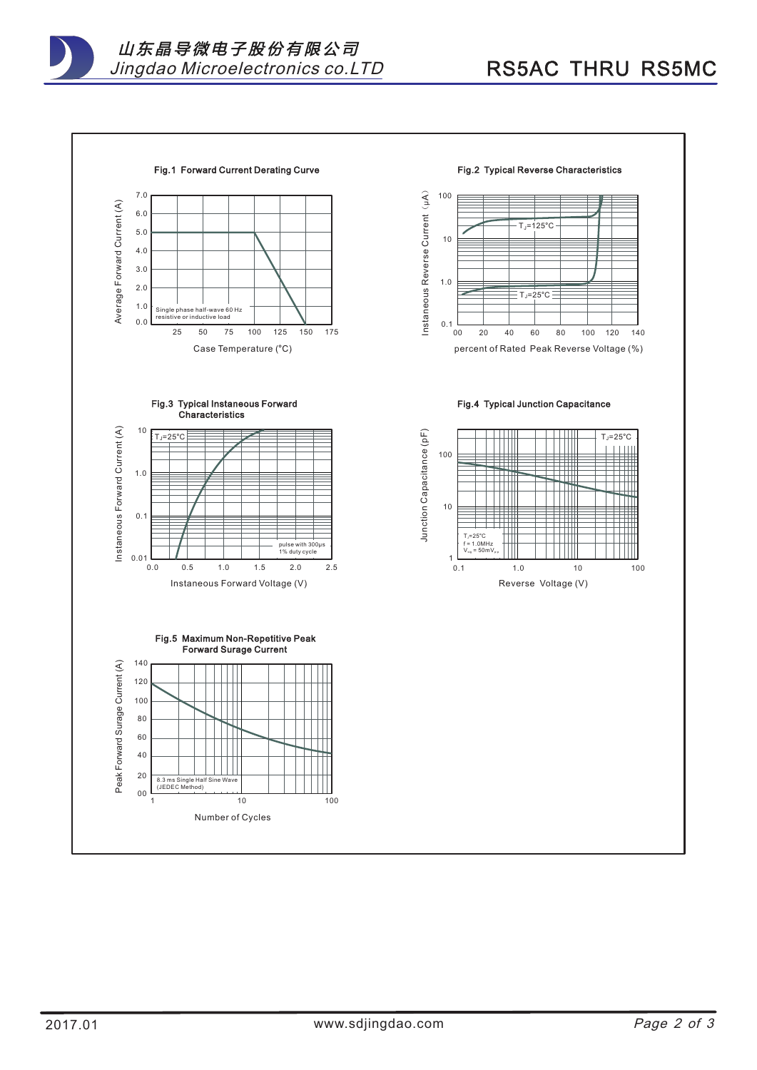山 东 晶 导 微 电 子 股 份 有 限 公 司